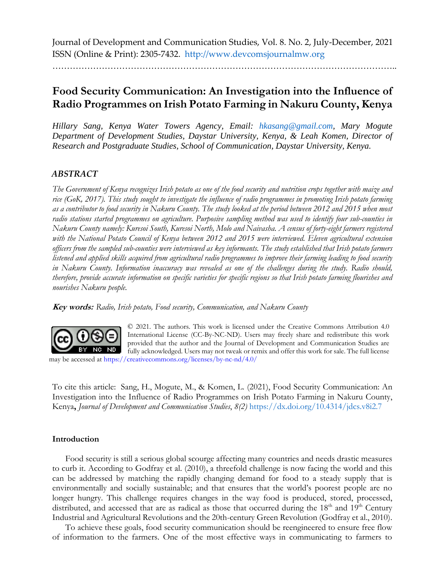Journal of Development and Communication Studies, Vol. 8. No. 2, July-December, 2021 ISSN (Online & Print): 2305-7432. [http://www.devcomsjournalmw.org](http://www.devcomsjournalmw.org/)

………………………………………………………………………………………………………..

# **Food Security Communication: An Investigation into the Influence of Radio Programmes on Irish Potato Farming in Nakuru County, Kenya**

*Hillary Sang, Kenya Water Towers Agency, Email: [hkasang@gmail.com,](mailto:hkasang@gmail.com) Mary Mogute Department of Development Studies, Daystar University, Kenya, & Leah Komen, Director of Research and Postgraduate Studies, School of Communication, Daystar University, Kenya.* 

## *ABSTRACT*

*The Government of Kenya recognizes Irish potato as one of the food security and nutrition crops together with maize and rice (GoK, 2017). This study sought to investigate the influence of radio programmes in promoting Irish potato farming as a contributor to food security in Nakuru County. The study looked at the period between 2012 and 2015 when most radio stations started programmes on agriculture. Purposive sampling method was used to identify four sub-counties in Nakuru County namely: Kuresoi South, Kuresoi North, Molo and Naivasha. A census of forty-eight farmers registered with the National Potato Council of Kenya between 2012 and 2015 were interviewed. Eleven agricultural extension officers from the sampled sub-counties were interviewed as key informants. The study established that Irish potato farmers listened and applied skills acquired from agricultural radio programmes to improve their farming leading to food security in Nakuru County. Information inaccuracy was revealed as one of the challenges during the study. Radio should, therefore, provide accurate information on specific varieties for specific regions so that Irish potato farming flourishes and nourishes Nakuru people.* 

**Key words:** *Radio, Irish potato, Food security, Communication, and Nakuru County*



© 2021. The authors. This work is licensed under the Creative Commons Attribution 4.0 International License (CC-By-NC-ND). Users may freely share and redistribute this work provided that the author and the Journal of Development and Communication Studies are fully acknowledged. Users may not tweak or remix and offer this work for sale. The full license

may be accessed [at https://creativecommons.org/licenses/by-nc-nd/4.0/](https://creativecommons.org/licenses/by-nc-nd/4.0/)

To cite this article: Sang, H., Mogute, M., & Komen, L. (2021), Food Security Communication: An Investigation into the Influence of Radio Programmes on Irish Potato Farming in Nakuru County, Kenya**[,](https://dx.doi.org/10.4314/jdcs.v8i2.7)** *Journal of Development and Communication Studies*, *8(2)* https://dx.doi.org/10.4314/jdcs.v8i2.7

## **Introduction**

Food security is still a serious global scourge affecting many countries and needs drastic measures to curb it. According to Godfray et al. (2010), a threefold challenge is now facing the world and this can be addressed by matching the rapidly changing demand for food to a steady supply that is environmentally and socially sustainable; and that ensures that the world's poorest people are no longer hungry. This challenge requires changes in the way food is produced, stored, processed, distributed, and accessed that are as radical as those that occurred during the  $18<sup>th</sup>$  and  $19<sup>th</sup>$  Century Industrial and Agricultural Revolutions and the 20th-century Green Revolution (Godfray et al., 2010).

To achieve these goals, food security communication should be reengineered to ensure free flow of information to the farmers. One of the most effective ways in communicating to farmers to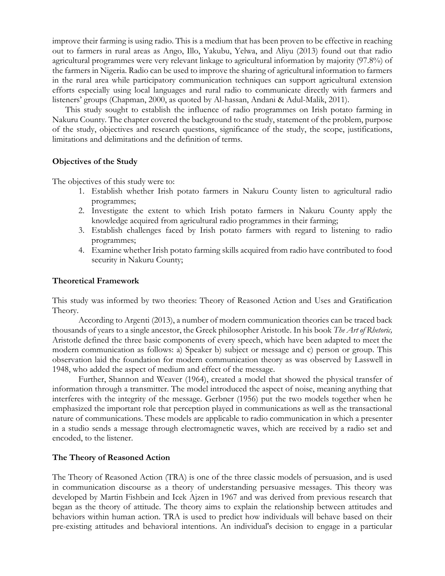improve their farming is using radio. This is a medium that has been proven to be effective in reaching out to farmers in rural areas as Ango, Illo, Yakubu, Yelwa, and Aliyu (2013) found out that radio agricultural programmes were very relevant linkage to agricultural information by majority (97.8%) of the farmers in Nigeria. Radio can be used to improve the sharing of agricultural information to farmers in the rural area while participatory communication techniques can support agricultural extension efforts especially using local languages and rural radio to communicate directly with farmers and listeners' groups (Chapman, 2000, as quoted by Al-hassan, Andani & Adul-Malik, 2011).

This study sought to establish the influence of radio programmes on Irish potato farming in Nakuru County. The chapter covered the background to the study, statement of the problem, purpose of the study, objectives and research questions, significance of the study, the scope, justifications, limitations and delimitations and the definition of terms.

## **Objectives of the Study**

The objectives of this study were to:

- 1. Establish whether Irish potato farmers in Nakuru County listen to agricultural radio programmes;
- 2. Investigate the extent to which Irish potato farmers in Nakuru County apply the knowledge acquired from agricultural radio programmes in their farming;
- 3. Establish challenges faced by Irish potato farmers with regard to listening to radio programmes;
- 4. Examine whether Irish potato farming skills acquired from radio have contributed to food security in Nakuru County;

## **Theoretical Framework**

This study was informed by two theories: Theory of Reasoned Action and Uses and Gratification Theory.

According to Argenti (2013), a number of modern communication theories can be traced back thousands of years to a single ancestor, the Greek philosopher Aristotle. In his book *The Art of Rhetoric,*  Aristotle defined the three basic components of every speech, which have been adapted to meet the modern communication as follows: a) Speaker b) subject or message and c) person or group. This observation laid the foundation for modern communication theory as was observed by Lasswell in 1948, who added the aspect of medium and effect of the message.

Further, Shannon and Weaver (1964), created a model that showed the physical transfer of information through a transmitter. The model introduced the aspect of noise, meaning anything that interferes with the integrity of the message. Gerbner (1956) put the two models together when he emphasized the important role that perception played in communications as well as the transactional nature of communications. These models are applicable to radio communication in which a presenter in a studio sends a message through electromagnetic waves, which are received by a radio set and encoded, to the listener.

## **The Theory of Reasoned Action**

The Theory of Reasoned Action (TRA) is one of the three classic models of persuasion, and is used in communication discourse as a theory of understanding persuasive messages. This theory was developed by Martin Fishbein and Icek Ajzen in 1967 and was derived from previous research that began as the theory of attitude. The theory aims to explain the relationship between attitudes and behaviors within human action. TRA is used to predict how individuals will behave based on their pre-existing attitudes and behavioral intentions. An individual's decision to engage in a particular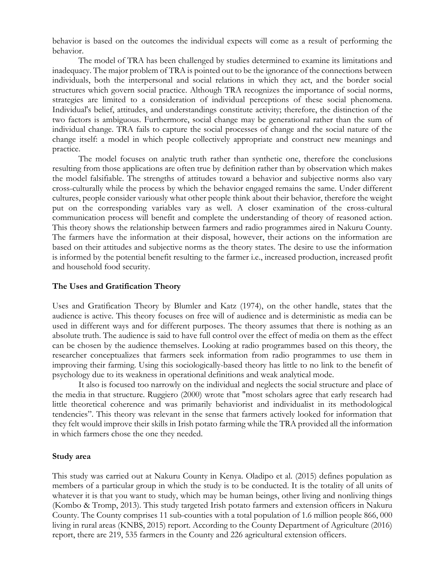behavior is based on the outcomes the individual expects will come as a result of performing the behavior.

The model of TRA has been challenged by studies determined to examine its limitations and inadequacy. The major problem of TRA is pointed out to be the ignorance of the connections between individuals, both the interpersonal and social relations in which they act, and the border social structures which govern social practice. Although TRA recognizes the importance of social norms, strategies are limited to a consideration of individual perceptions of these social phenomena. Individual's belief, attitudes, and understandings constitute activity; therefore, the distinction of the two factors is ambiguous. Furthermore, social change may be generational rather than the sum of individual change. TRA fails to capture the social processes of change and the social nature of the change itself: a model in which people collectively appropriate and construct new meanings and practice.

The model focuses on analytic truth rather than synthetic one, therefore the conclusions resulting from those applications are often true by definition rather than by observation which makes the model falsifiable. The strengths of attitudes toward a behavior and subjective norms also vary cross-culturally while the process by which the behavior engaged remains the same. Under different cultures, people consider variously what other people think about their behavior, therefore the weight put on the corresponding variables vary as well. A closer examination of the cross-cultural communication process will benefit and complete the understanding of theory of reasoned action. This theory shows the relationship between farmers and radio programmes aired in Nakuru County. The farmers have the information at their disposal, however, their actions on the information are based on their attitudes and subjective norms as the theory states. The desire to use the information is informed by the potential benefit resulting to the farmer i.e., increased production, increased profit and household food security.

#### **The Uses and Gratification Theory**

Uses and Gratification Theory by Blumler and Katz (1974), on the other handle, states that the audience is active. This theory focuses on free will of audience and is deterministic as media can be used in different ways and for different purposes. The theory assumes that there is nothing as an absolute truth. The audience is said to have full control over the effect of media on them as the effect can be chosen by the audience themselves. Looking at radio programmes based on this theory, the researcher conceptualizes that farmers seek information from radio programmes to use them in improving their farming. Using this sociologically-based theory has little to no link to the benefit of psychology due to its weakness in operational definitions and weak analytical mode.

It also is focused too narrowly on the individual and neglects the social structure and place of the media in that structure. Ruggiero (2000) wrote that "most scholars agree that early research had little theoretical coherence and was primarily behaviorist and individualist in its methodological tendencies". This theory was relevant in the sense that farmers actively looked for information that they felt would improve their skills in Irish potato farming while the TRA provided all the information in which farmers chose the one they needed.

#### **Study area**

This study was carried out at Nakuru County in Kenya. Oladipo et al. (2015) defines population as members of a particular group in which the study is to be conducted. It is the totality of all units of whatever it is that you want to study, which may be human beings, other living and nonliving things (Kombo & Tromp, 2013). This study targeted Irish potato farmers and extension officers in Nakuru County. The County comprises 11 sub-counties with a total population of 1.6 million people 866, 000 living in rural areas (KNBS, 2015) report. According to the County Department of Agriculture (2016) report, there are 219, 535 farmers in the County and 226 agricultural extension officers.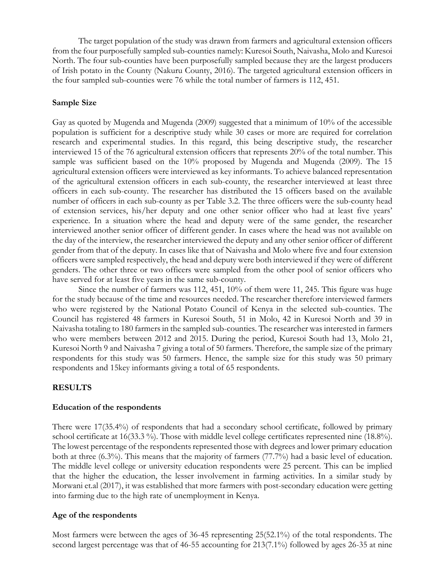The target population of the study was drawn from farmers and agricultural extension officers from the four purposefully sampled sub-counties namely: Kuresoi South, Naivasha, Molo and Kuresoi North. The four sub-counties have been purposefully sampled because they are the largest producers of Irish potato in the County (Nakuru County, 2016). The targeted agricultural extension officers in the four sampled sub-counties were 76 while the total number of farmers is 112, 451.

## **Sample Size**

Gay as quoted by Mugenda and Mugenda (2009) suggested that a minimum of 10% of the accessible population is sufficient for a descriptive study while 30 cases or more are required for correlation research and experimental studies. In this regard, this being descriptive study, the researcher interviewed 15 of the 76 agricultural extension officers that represents 20% of the total number. This sample was sufficient based on the 10% proposed by Mugenda and Mugenda (2009). The 15 agricultural extension officers were interviewed as key informants. To achieve balanced representation of the agricultural extension officers in each sub-county, the researcher interviewed at least three officers in each sub-county. The researcher has distributed the 15 officers based on the available number of officers in each sub-county as per Table 3.2. The three officers were the sub-county head of extension services, his/her deputy and one other senior officer who had at least five years' experience. In a situation where the head and deputy were of the same gender, the researcher interviewed another senior officer of different gender. In cases where the head was not available on the day of the interview, the researcher interviewed the deputy and any other senior officer of different gender from that of the deputy. In cases like that of Naivasha and Molo where five and four extension officers were sampled respectively, the head and deputy were both interviewed if they were of different genders. The other three or two officers were sampled from the other pool of senior officers who have served for at least five years in the same sub-county.

Since the number of farmers was 112, 451, 10% of them were 11, 245. This figure was huge for the study because of the time and resources needed. The researcher therefore interviewed farmers who were registered by the National Potato Council of Kenya in the selected sub-counties. The Council has registered 48 farmers in Kuresoi South, 51 in Molo, 42 in Kuresoi North and 39 in Naivasha totaling to 180 farmers in the sampled sub-counties. The researcher was interested in farmers who were members between 2012 and 2015. During the period, Kuresoi South had 13, Molo 21, Kuresoi North 9 and Naivasha 7 giving a total of 50 farmers. Therefore, the sample size of the primary respondents for this study was 50 farmers. Hence, the sample size for this study was 50 primary respondents and 15key informants giving a total of 65 respondents.

## **RESULTS**

## **Education of the respondents**

There were 17(35.4%) of respondents that had a secondary school certificate, followed by primary school certificate at 16(33.3 %). Those with middle level college certificates represented nine (18.8%). The lowest percentage of the respondents represented those with degrees and lower primary education both at three (6.3%). This means that the majority of farmers (77.7%) had a basic level of education. The middle level college or university education respondents were 25 percent. This can be implied that the higher the education, the lesser involvement in farming activities. In a similar study by Morwani et.al (2017), it was established that more farmers with post-secondary education were getting into farming due to the high rate of unemployment in Kenya.

## **Age of the respondents**

Most farmers were between the ages of 36-45 representing 25(52.1%) of the total respondents. The second largest percentage was that of 46-55 accounting for 213(7.1%) followed by ages 26-35 at nine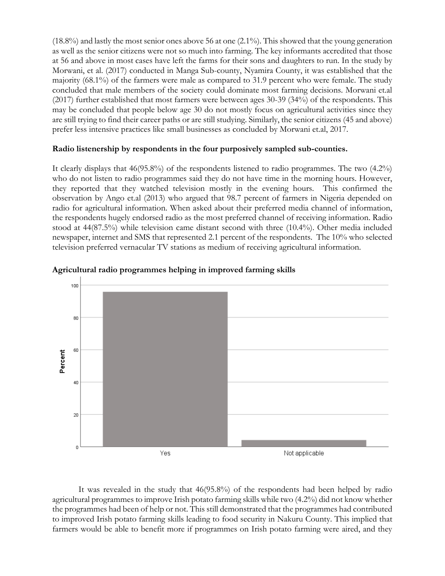$(18.8\%)$  and lastly the most senior ones above 56 at one  $(2.1\%)$ . This showed that the young generation as well as the senior citizens were not so much into farming. The key informants accredited that those at 56 and above in most cases have left the farms for their sons and daughters to run. In the study by Morwani, et al. (2017) conducted in Manga Sub-county, Nyamira County, it was established that the majority (68.1%) of the farmers were male as compared to 31.9 percent who were female. The study concluded that male members of the society could dominate most farming decisions. Morwani et.al (2017) further established that most farmers were between ages 30-39 (34%) of the respondents. This may be concluded that people below age 30 do not mostly focus on agricultural activities since they are still trying to find their career paths or are still studying. Similarly, the senior citizens (45 and above) prefer less intensive practices like small businesses as concluded by Morwani et.al, 2017.

## **Radio listenership by respondents in the four purposively sampled sub-counties.**

It clearly displays that 46(95.8%) of the respondents listened to radio programmes. The two (4.2%) who do not listen to radio programmes said they do not have time in the morning hours. However, they reported that they watched television mostly in the evening hours. This confirmed the observation by Ango et.al (2013) who argued that 98.7 percent of farmers in Nigeria depended on radio for agricultural information. When asked about their preferred media channel of information, the respondents hugely endorsed radio as the most preferred channel of receiving information. Radio stood at 44(87.5%) while television came distant second with three (10.4%). Other media included newspaper, internet and SMS that represented 2.1 percent of the respondents. The 10% who selected television preferred vernacular TV stations as medium of receiving agricultural information.



# **Agricultural radio programmes helping in improved farming skills**

It was revealed in the study that 46(95.8%) of the respondents had been helped by radio agricultural programmes to improve Irish potato farming skills while two (4.2%) did not know whether the programmes had been of help or not. This still demonstrated that the programmes had contributed to improved Irish potato farming skills leading to food security in Nakuru County. This implied that farmers would be able to benefit more if programmes on Irish potato farming were aired, and they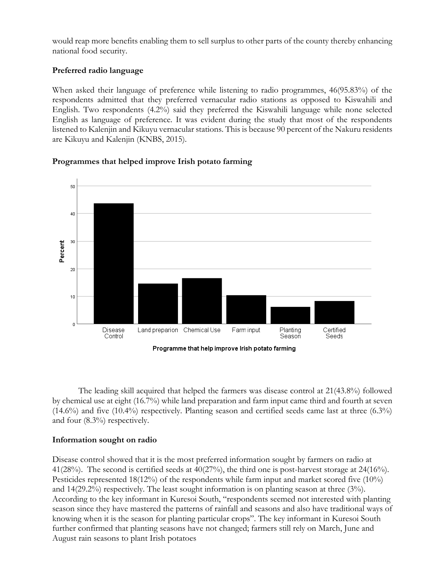would reap more benefits enabling them to sell surplus to other parts of the county thereby enhancing national food security.

# **Preferred radio language**

When asked their language of preference while listening to radio programmes, 46(95.83%) of the respondents admitted that they preferred vernacular radio stations as opposed to Kiswahili and English. Two respondents (4.2%) said they preferred the Kiswahili language while none selected English as language of preference. It was evident during the study that most of the respondents listened to Kalenjin and Kikuyu vernacular stations. This is because 90 percent of the Nakuru residents are Kikuyu and Kalenjin (KNBS, 2015).

# **Programmes that helped improve Irish potato farming**



Programme that help improve Irish potato farming

The leading skill acquired that helped the farmers was disease control at 21(43.8%) followed by chemical use at eight (16.7%) while land preparation and farm input came third and fourth at seven (14.6%) and five (10.4%) respectively. Planting season and certified seeds came last at three (6.3%) and four (8.3%) respectively.

# **Information sought on radio**

Disease control showed that it is the most preferred information sought by farmers on radio at 41(28%). The second is certified seeds at 40(27%), the third one is post-harvest storage at 24(16%). Pesticides represented 18(12%) of the respondents while farm input and market scored five (10%) and 14(29.2%) respectively. The least sought information is on planting season at three (3%). According to the key informant in Kuresoi South, "respondents seemed not interested with planting season since they have mastered the patterns of rainfall and seasons and also have traditional ways of knowing when it is the season for planting particular crops". The key informant in Kuresoi South further confirmed that planting seasons have not changed; farmers still rely on March, June and August rain seasons to plant Irish potatoes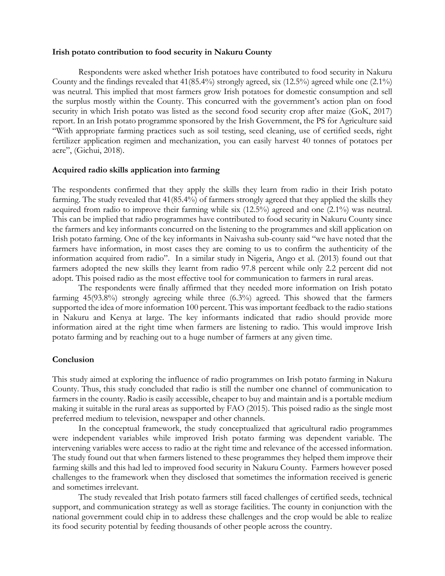#### **Irish potato contribution to food security in Nakuru County**

Respondents were asked whether Irish potatoes have contributed to food security in Nakuru County and the findings revealed that 41(85.4%) strongly agreed, six (12.5%) agreed while one (2.1%) was neutral. This implied that most farmers grow Irish potatoes for domestic consumption and sell the surplus mostly within the County. This concurred with the government's action plan on food security in which Irish potato was listed as the second food security crop after maize (GoK, 2017) report. In an Irish potato programme sponsored by the Irish Government, the PS for Agriculture said "With appropriate farming practices such as soil testing, seed cleaning, use of certified seeds, right fertilizer application regimen and mechanization, you can easily harvest 40 tonnes of potatoes per acre", (Gichui, 2018).

#### **Acquired radio skills application into farming**

The respondents confirmed that they apply the skills they learn from radio in their Irish potato farming. The study revealed that 41(85.4%) of farmers strongly agreed that they applied the skills they acquired from radio to improve their farming while six (12.5%) agreed and one (2.1%) was neutral. This can be implied that radio programmes have contributed to food security in Nakuru County since the farmers and key informants concurred on the listening to the programmes and skill application on Irish potato farming. One of the key informants in Naivasha sub-county said "we have noted that the farmers have information, in most cases they are coming to us to confirm the authenticity of the information acquired from radio". In a similar study in Nigeria, Ango et al. (2013) found out that farmers adopted the new skills they learnt from radio 97.8 percent while only 2.2 percent did not adopt. This poised radio as the most effective tool for communication to farmers in rural areas.

The respondents were finally affirmed that they needed more information on Irish potato farming 45(93.8%) strongly agreeing while three (6.3%) agreed. This showed that the farmers supported the idea of more information 100 percent. This was important feedback to the radio stations in Nakuru and Kenya at large. The key informants indicated that radio should provide more information aired at the right time when farmers are listening to radio. This would improve Irish potato farming and by reaching out to a huge number of farmers at any given time.

#### **Conclusion**

This study aimed at exploring the influence of radio programmes on Irish potato farming in Nakuru County. Thus, this study concluded that radio is still the number one channel of communication to farmers in the county. Radio is easily accessible, cheaper to buy and maintain and is a portable medium making it suitable in the rural areas as supported by FAO (2015). This poised radio as the single most preferred medium to television, newspaper and other channels.

In the conceptual framework, the study conceptualized that agricultural radio programmes were independent variables while improved Irish potato farming was dependent variable. The intervening variables were access to radio at the right time and relevance of the accessed information. The study found out that when farmers listened to these programmes they helped them improve their farming skills and this had led to improved food security in Nakuru County. Farmers however posed challenges to the framework when they disclosed that sometimes the information received is generic and sometimes irrelevant.

The study revealed that Irish potato farmers still faced challenges of certified seeds, technical support, and communication strategy as well as storage facilities. The county in conjunction with the national government could chip in to address these challenges and the crop would be able to realize its food security potential by feeding thousands of other people across the country.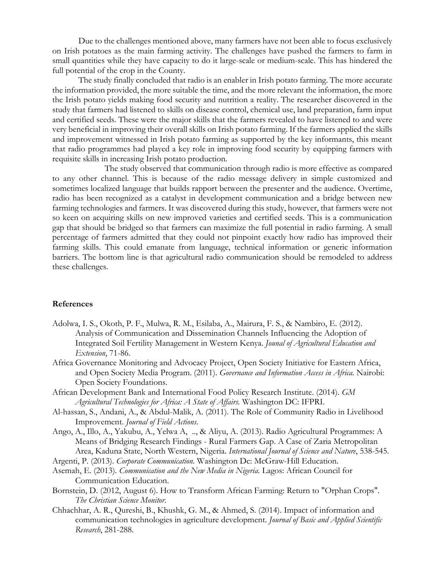Due to the challenges mentioned above, many farmers have not been able to focus exclusively on Irish potatoes as the main farming activity. The challenges have pushed the farmers to farm in small quantities while they have capacity to do it large-scale or medium-scale. This has hindered the full potential of the crop in the County.

The study finally concluded that radio is an enabler in Irish potato farming. The more accurate the information provided, the more suitable the time, and the more relevant the information, the more the Irish potato yields making food security and nutrition a reality. The researcher discovered in the study that farmers had listened to skills on disease control, chemical use, land preparation, farm input and certified seeds. These were the major skills that the farmers revealed to have listened to and were very beneficial in improving their overall skills on Irish potato farming. If the farmers applied the skills and improvement witnessed in Irish potato farming as supported by the key informants, this meant that radio programmes had played a key role in improving food security by equipping farmers with requisite skills in increasing Irish potato production.

The study observed that communication through radio is more effective as compared to any other channel. This is because of the radio message delivery in simple customized and sometimes localized language that builds rapport between the presenter and the audience. Overtime, radio has been recognized as a catalyst in development communication and a bridge between new farming technologies and farmers. It was discovered during this study, however, that farmers were not so keen on acquiring skills on new improved varieties and certified seeds. This is a communication gap that should be bridged so that farmers can maximize the full potential in radio farming. A small percentage of farmers admitted that they could not pinpoint exactly how radio has improved their farming skills. This could emanate from language, technical information or generic information barriers. The bottom line is that agricultural radio communication should be remodeled to address these challenges.

#### **References**

- Adolwa, I. S., Okoth, P. F., Mulwa, R. M., Esilaba, A., Mairura, F. S., & Nambiro, E. (2012). Analysis of Communication and Dissemination Channels Influencing the Adoption of Integrated Soil Fertility Management in Western Kenya. *Jounal of Agricultural Education and Extension*, 71-86.
- Africa Governance Monitoring and Advocacy Project, Open Society Initiative for Eastern Africa, and Open Society Media Program. (2011). *Governance and Information Access in Africa.* Nairobi: Open Society Foundations.
- African Development Bank and International Food Policy Research Institute. (2014). *GM Agricultural Technologies for Africa: A State of Affairs.* Washington DC: IFPRI.
- Al-hassan, S., Andani, A., & Abdul-Malik, A. (2011). The Role of Community Radio in Livelihood Improvement. *Journal of Field Actions*.
- Ango, A., Illo, A., Yakubu, A., Yelwa A, .., & Aliyu, A. (2013). Radio Agricultural Programmes: A Means of Bridging Research Findings - Rural Farmers Gap. A Case of Zaria Metropolitan Area, Kaduna State, North Western, Nigeria. *International Journal of Science and Nature*, 538-545.
- Argenti, P. (2013). *Corporate Communication.* Washington Dc: McGraw-Hill Education.
- Asemah, E. (2013). *Communication and the New Media in Nigeria.* Lagos: African Council for Communication Education.
- Bornstein, D. (2012, August 6). How to Transform African Farming: Return to "Orphan Crops". *The Christian Science Monitor*.
- Chhachhar, A. R., Qureshi, B., Khushk, G. M., & Ahmed, S. (2014). Impact of information and communication technologies in agriculture development. *Journal of Basic and Applied Scientific Research*, 281-288.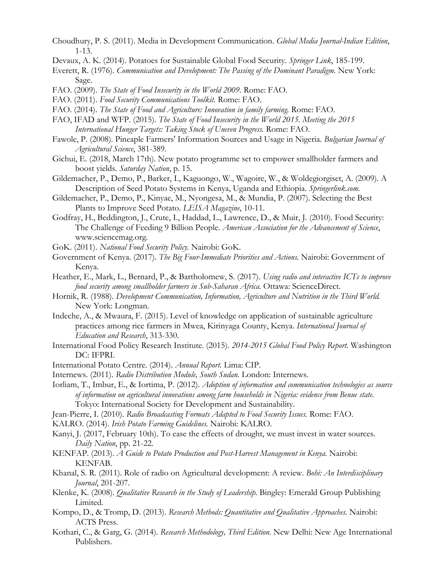- Choudhury, P. S. (2011). Media in Development Communication. *Global Media Journal-Indian Edition*, 1-13.
- Devaux, A. K. (2014). Potatoes for Sustainable Global Food Security. *Springer Link*, 185-199.
- Everett, R. (1976). *Communication and Development: The Passing of the Dominant Paradigm.* New York: Sage.
- FAO. (2009). *The State of Food Insecurity in the World 2009.* Rome: FAO.
- FAO. (2011). *Food Security Communications Toolkit.* Rome: FAO.
- FAO. (2014). *The State of Food and Agriculture: Innovation in family farming.* Rome: FAO.
- FAO, IFAD and WFP. (2015). *The State of Food Insecurity in the World 2015. Meeting the 2015 International Hunger Targets: Taking Stock of Uneven Progress.* Rome: FAO.
- Fawole, P. (2008). Pineaple Farmers' Information Sources and Usage in Nigeria. *Bulgarian Journal of Agricultural Science*, 381-389.
- Gichui, E. (2018, March 17th). New potato programme set to empower smallholder farmers and boost yields. *Saturday Nation*, p. 15.
- Gildemacher, P., Demo, P., Barker, I., Kaguongo, W., Wagoire, W., & Woldegiorgiset, A. (2009). A Description of Seed Potato Systems in Kenya, Uganda and Ethiopia. *Springerlink.com*.
- Gildemacher, P., Demo, P., Kinyae, M., Nyongesa, M., & Mundia, P. (2007). Selecting the Best Plants to Improve Seed Potato. *LEISA Magazine*, 10-11.
- Godfray, H., Beddington, J., Crute, I., Haddad, L., Lawrence, D., & Muir, J. (2010). Food Security: The Challenge of Feeding 9 Billion People. *American Association for the Advancement of Science*, www.sciencemag.org.
- GoK. (2011). *National Food Security Policy.* Nairobi: GoK.
- Government of Kenya. (2017). *The Big Four-Immediate Priorities and Actions.* Nairobi: Government of Kenya.
- Heather, E., Mark, L., Bernard, P., & Bartholomew, S. (2017). *Using radio and interactive ICTs to improve food security among smallholder farmers in Sub-Saharan Africa.* Ottawa: ScienceDirect.
- Hornik, R. (1988). *Development Communication, Information, Agriculture and Nutrition in the Third World.* New York: Longman.
- Indeche, A., & Mwaura, F. (2015). Level of knowledge on application of sustainable agriculture practices among rice farmers in Mwea, Kirinyaga County, Kenya. *International Journal of Education and Research*, 313-330.
- International Food Policy Research Institute. (2015). *2014-2015 Global Food Policy Report.* Washington DC: IFPRI.
- International Potato Centre. (2014). *Annual Report.* Lima: CIP.

Internews. (2011). *Radio Distribution Module, South Sudan.* London: Internews.

- Iorliam, T., Imbur, E., & Iortima, P. (2012). *Adoption of information and communication technologies as source of information on agricultural innovations among farm households in Nigeria: evidence from Benue state.* Tokyo: International Society for Development and Sustainability.
- Jean-Pierre, I. (2010). *Radio Broadcasting Formats Adapted to Food Security Issues.* Rome: FAO.
- KALRO. (2014). *Irish Potato Farming Guidelines.* Nairobi: KALRO.
- Kanyi, J. (2017, February 10th). To ease the effects of drought, we must invest in water sources. *Daily Nation*, pp. 21-22.
- KENFAP. (2013). *A Guide to Potato Production and Post-Harvest Management in Kenya.* Nairobi: KENFAB.
- Khanal, S. R. (2011). Role of radio on Agricultural development: A review. *Bohi: An Interdisciplinary Journal*, 201-207.
- Klenke, K. (2008). *Qualitative Research in the Study of Leadership.* Bingley: Emerald Group Publishing Limited.
- Kompo, D., & Tromp, D. (2013). *Research Methods: Quantitative and Qualitative Approaches.* Nairobi: ACTS Press.
- Kothari, C., & Garg, G. (2014). *Research Methodology, Third Edition.* New Delhi: New Age International Publishers.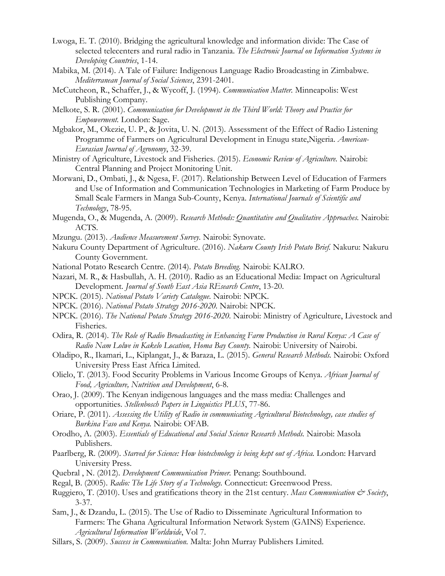- Lwoga, E. T. (2010). Bridging the agricultural knowledge and information divide: The Case of selected telecenters and rural radio in Tanzania. *The Electronic Journal on Information Systems in Developing Countries*, 1-14.
- Mabika, M. (2014). A Tale of Failure: Indigenous Language Radio Broadcasting in Zimbabwe. *Mediterranean Journal of Social Sciences*, 2391-2401.
- McCutcheon, R., Schaffer, J., & Wycoff, J. (1994). *Communication Matter.* Minneapolis: West Publishing Company.
- Melkote, S. R. (2001). *Communication for Development in the Third World: Theory and Practice for Empowerment.* London: Sage.
- Mgbakor, M., Okezie, U. P., & Jovita, U. N. (2013). Assessment of the Effect of Radio Listening Programme of Farmers on Agricultural Development in Enugu state,Nigeria. *American-Eurasian Journal of Agronomy*, 32-39.
- Ministry of Agriculture, Livestock and Fisheries. (2015). *Economic Review of Agriculture.* Nairobi: Central Planning and Project Monitoring Unit.
- Morwani, D., Ombati, J., & Ngesa, F. (2017). Relationship Between Level of Education of Farmers and Use of Information and Communication Technologies in Marketing of Farm Produce by Small Scale Farmers in Manga Sub-County, Kenya. *International Journals of Scientific and Technology*, 78-95.
- Mugenda, O., & Mugenda, A. (2009). *Research Methods: Quantitative and Qualitative Approaches.* Nairobi: ACTS.
- Mzungu. (2013). *Audience Measurement Survey.* Nairobi: Synovate.
- Nakuru County Department of Agriculture. (2016). *Nakuru County Irish Potato Brief.* Nakuru: Nakuru County Government.
- National Potato Research Centre. (2014). *Potato Breeding.* Nairobi: KALRO.
- Nazari, M. R., & Hasbullah, A. H. (2010). Radio as an Educational Media: Impact on Agricultural Development. *Journal of South East Asia REsearch Centre*, 13-20.
- NPCK. (2015). *National Potato Variety Catalogue.* Nairobi: NPCK.
- NPCK. (2016). *National Potato Strategy 2016-2020.* Nairobi: NPCK.
- NPCK. (2016). *The National Potato Strategy 2016-2020.* Nairobi: Ministry of Agriculture, Livestock and Fisheries.
- Odira, R. (2014). *The Role of Radio Broadcasting in Enhancing Farm Production in Rural Kenya: A Case of Radio Nam Lolwe in Kakelo Location, Homa Bay County.* Nairobi: University of Nairobi.
- Oladipo, R., Ikamari, L., Kiplangat, J., & Baraza, L. (2015). *General Research Methods.* Nairobi: Oxford University Press East Africa Limited.
- Olielo, T. (2013). Food Security Problems in Various Income Groups of Kenya. *African Journal of Food, Agriculture, Nutrition and Development*, 6-8.
- Orao, J. (2009). The Kenyan indigenous languages and the mass media: Challenges and opportunities. *Stellenbosch Papers in Linguistics PLUS*, 77-86.
- Oriare, P. (2011). *Assessing the Utility of Radio in communicating Agricultural Biotechnology, case studies of Burkina Faso and Kenya.* Nairobi: OFAB.
- Orodho, A. (2003). *Essentials of Educational and Social Science Research Methods.* Nairobi: Masola Publishers.
- Paarlberg, R. (2009). *Starved for Science: How biotechnology is being kept out of Africa.* London: Harvard University Press.
- Quebral , N. (2012). *Development Communication Primer.* Penang: Southbound.
- Regal, B. (2005). *Radio: The Life Story of a Technology.* Connecticut: Greenwood Press.
- Ruggiero, T. (2010). Uses and gratifications theory in the 21st century. *Mass Communication & Society*, 3-37.
- Sam, J., & Dzandu, L. (2015). The Use of Radio to Disseminate Agricultural Information to Farmers: The Ghana Agricultural Information Network System (GAINS) Experience. *Agricultural Information Worldwide*, Vol 7.
- Sillars, S. (2009). *Success in Communication.* Malta: John Murray Publishers Limited.